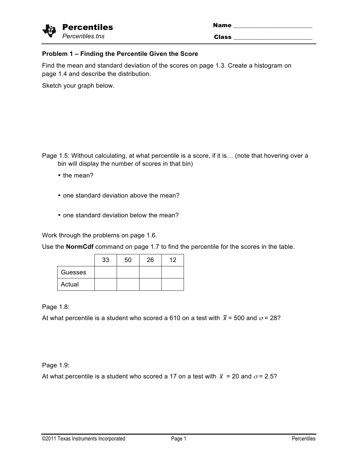| √ÿ | <b>Percentiles</b> |
|----|--------------------|
|    | Percentiles.tns    |

| <b>Percentiles</b> | <b>Name</b>  |
|--------------------|--------------|
| Percentiles.tns    | <b>Class</b> |

## **Problem 1 – Finding the Percentile Given the Score**

Find the mean and standard deviation of the scores on page 1.3. Create a histogram on page 1.4 and describe the distribution.

Sketch your graph below.

Page 1.5: Without calculating, at what percentile is a score, if it is… (note that hovering over a bin will display the number of scores in that bin)

- the mean?
- one standard deviation above the mean?
- one standard deviation below the mean?

Work through the problems on page 1.6.

Use the **NormCdf** command on page 1.7 to find the percentile for the scores in the table.

|         | 33 | 50 | 26 | 12 |
|---------|----|----|----|----|
| Guesses |    |    |    |    |
| Actual  |    |    |    |    |

Page 1.8:

At what percentile is a student who scored a 610 on a test with  $\bar{x}$  = 500 and  $\sigma$  = 28?

Page 1.9:

At what percentile is a student who scored a 17 on a test with  $\bar{x}$  = 20 and  $\sigma$  = 2.5?